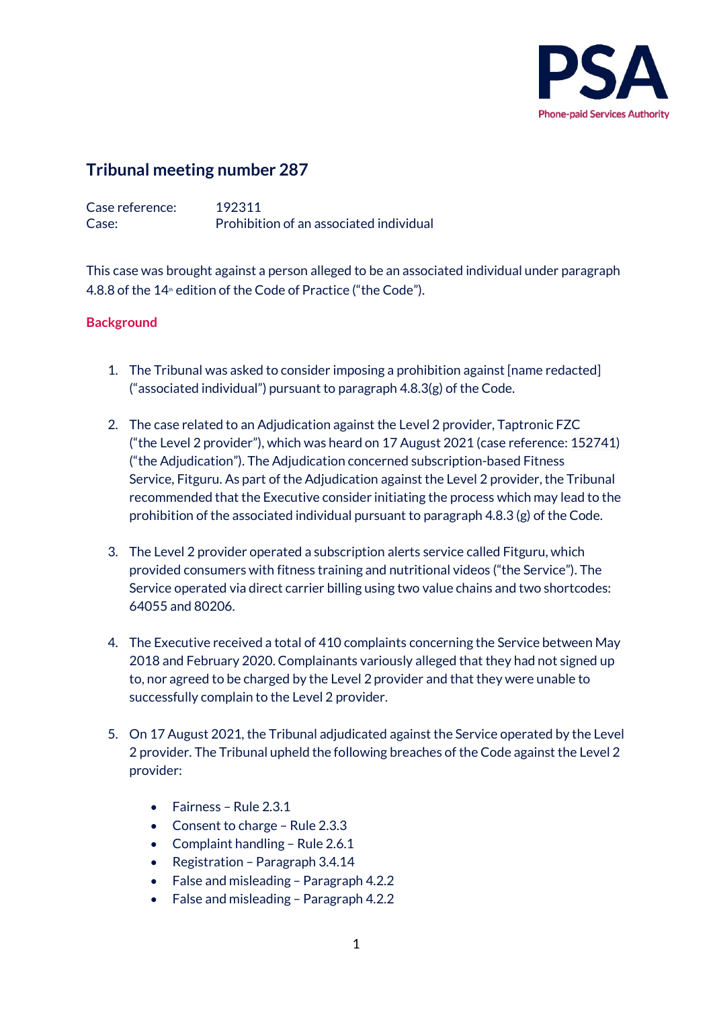

# **Tribunal meeting number 287**

Case reference: 192311 Case: Prohibition of an associated individual

This case was brought against a person alleged to be an associated individual under paragraph  $4.8.8$  of the 14<sup>th</sup> edition of the Code of Practice ("the Code").

# **Background**

- 1. The Tribunal was asked to consider imposing a prohibition against [name redacted] ("associated individual") pursuant to paragraph  $4.8.3(g)$  of the Code.
- 2. The case related to an Adjudication against the Level 2 provider, Taptronic FZC ("the Level 2 provider"), which was heard on 17 August 2021 (case reference: 152741) ("the Adjudication"). The Adjudication concerned subscription-based Fitness Service, Fitguru. As part of the Adjudication against the Level 2 provider, the Tribunal recommended that the Executive consider initiating the process which may lead to the prohibition of the associated individual pursuant to paragraph 4.8.3 (g) of the Code.
- 3. The Level 2 provider operated a subscription alerts service called Fitguru, which provided consumers with fitness training and nutritional videos ("the Service"). The Service operated via direct carrier billing using two value chains and two shortcodes: 64055 and 80206.
- 4. The Executive received a total of 410 complaints concerning the Service between May 2018 and February 2020. Complainants variously alleged that they had not signed up to, nor agreed to be charged by the Level 2 provider and that they were unable to successfully complain to the Level 2 provider.
- 5. On 17 August 2021, the Tribunal adjudicated against the Service operated by the Level 2 provider. The Tribunal upheld the following breaches of the Code against the Level 2 provider:
	- Fairness Rule 2.3.1
	- Consent to charge Rule 2.3.3
	- Complaint handling Rule 2.6.1
	- Registration Paragraph 3.4.14
	- False and misleading Paragraph 4.2.2
	- False and misleading Paragraph 4.2.2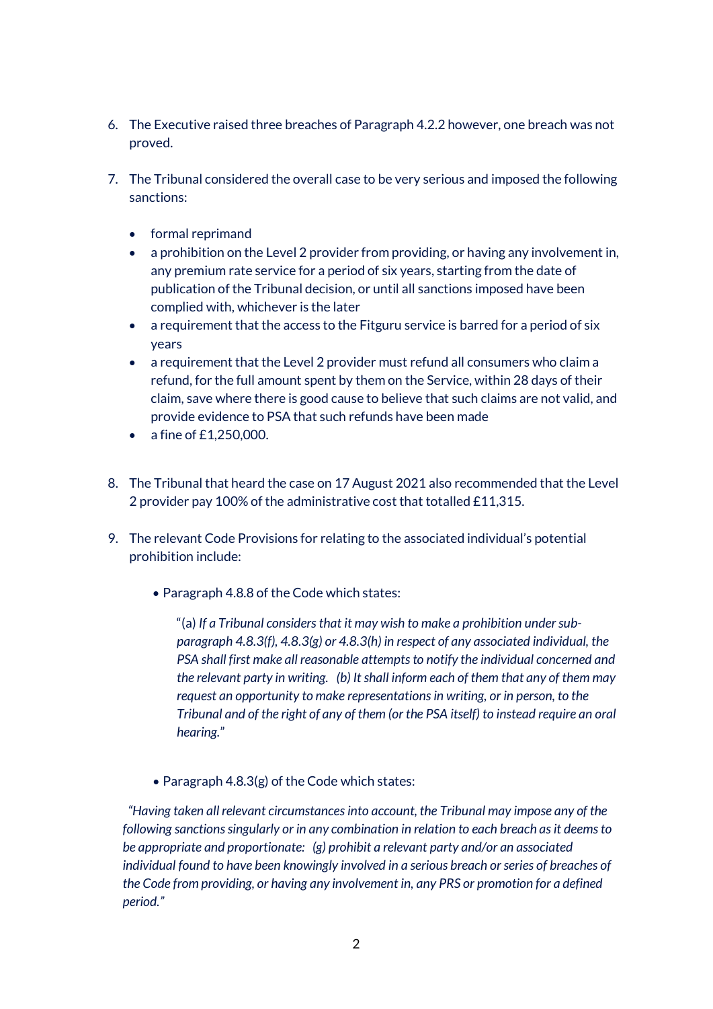- 6. The Executive raised three breaches of Paragraph 4.2.2 however, one breach was not proved.
- 7. The Tribunal considered the overall case to be very serious and imposed the following sanctions:
	- formal reprimand
	- a prohibition on the Level 2 provider from providing, or having any involvement in, any premium rate service for a period of six years, starting from the date of publication of the Tribunal decision, or until all sanctions imposed have been complied with, whichever is the later
	- a requirement that the access to the Fitguru service is barred for a period of six years
	- a requirement that the Level 2 provider must refund all consumers who claim a refund, for the full amount spent by them on the Service, within 28 days of their claim, save where there is good cause to believe that such claims are not valid, and provide evidence to PSA that such refunds have been made
	- a fine of £1,250,000.
- 8. The Tribunal that heard the case on 17 August 2021 also recommended that the Level 2 provider pay 100% of the administrative cost that totalled £11,315.
- 9. The relevant Code Provisions for relating to the associated individual's potential prohibition include:
	- Paragraph 4.8.8 of the Code which states:

"(a) *If a Tribunal considers that it may wish to make a prohibition under subparagraph 4.8.3(f), 4.8.3(g) or 4.8.3(h) in respect of any associated individual, the PSA shall first make all reasonable attempts to notify the individual concerned and the relevant party in writing.   (b) It shall inform each of them that any of them may request an opportunity to make representations in writing, or in person, to the Tribunal and of the right of any of them (or the PSA itself) to instead require an oral hearing.*"     

• Paragraph 4.8.3(g) of the Code which states:      

*"Having taken all relevant circumstances into account, the Tribunal may impose any of the following sanctions singularly or in any combination in relation to each breach as it deems to be appropriate and proportionate:   (g) prohibit a relevant party and/or an associated individual found to have been knowingly involved in a serious breach or series of breaches of the Code from providing, or having any involvement in, any PRS or promotion for a defined period."*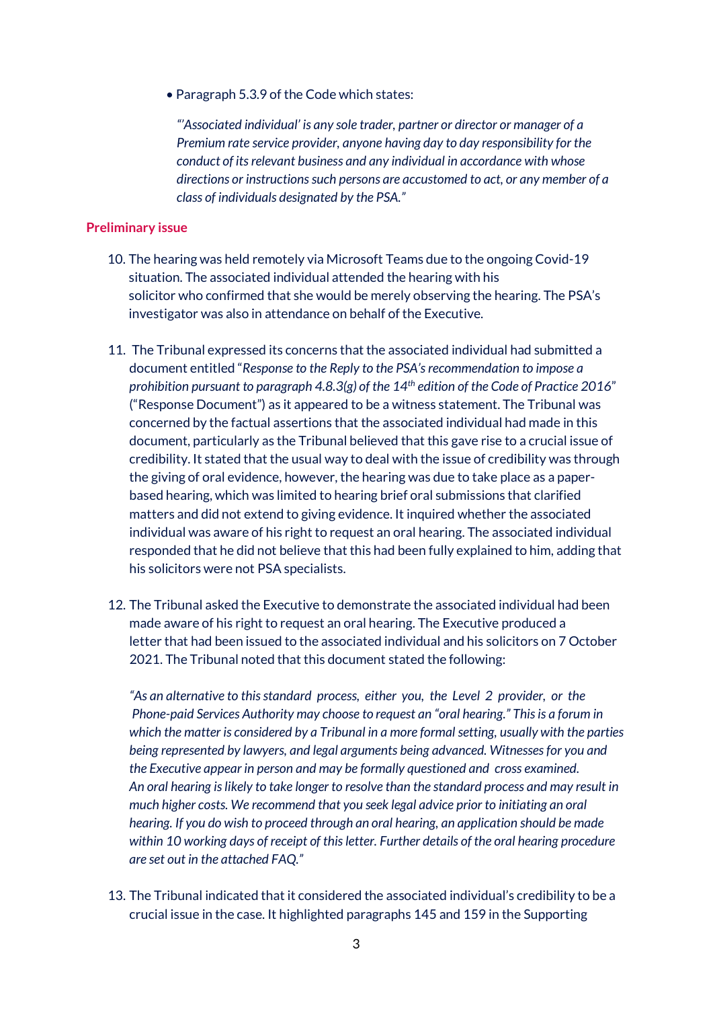*•* Paragraph 5.3.9 of the Code which states:     

*"'Associated individual' is any sole trader, partner or director or manager of a Premium rate service provider, anyone having day to day responsibility for the conduct of its relevant business and any individual in accordance with whose directions or instructions such persons are accustomed to act, or any member of a class of individuals designated by the PSA."*

## **Preliminary issue**

- 10. The hearing was held remotely via Microsoft Teams due to the ongoing Covid-19 situation. The associated individual attended the hearing with his solicitor who confirmed that she would be merely observing the hearing. The PSA's investigator was also in attendance on behalf of the Executive.
- 11. The Tribunal expressed its concerns that the associated individual had submitted a document entitled "*Response to the Reply to the PSA's recommendation to impose a prohibition pursuant to paragraph 4.8.3(g) of the 14th edition of the Code of Practice 2016*" ("Response Document") as it appeared to be a witness statement. The Tribunal was concerned by the factual assertions that the associated individual had made in this document, particularly as the Tribunal believed that this gave rise to a crucial issue of credibility. It stated that the usual way to deal with the issue of credibility was through the giving of oral evidence, however, the hearing was due to take place as a paperbased hearing, which was limited to hearing brief oral submissions that clarified matters and did not extend to giving evidence. It inquired whether the associated individual was aware of his right to request an oral hearing. The associated individual responded that he did not believe that this had been fully explained to him, adding that his solicitors were not PSA specialists.
- 12. The Tribunal asked the Executive to demonstrate the associated individual had been made aware of his right to request an oral hearing. The Executive produced a letter that had been issued to the associated individual and his solicitors on 7 October 2021. The Tribunal noted that this document stated the following:

*"As an alternative to thisstandard process, either you, the Level 2 provider, or the Phone-paid Services Authority may choose to request an "oral hearing." This is a forum in which the matter is considered by a Tribunal in a more formal setting, usually with the parties being represented by lawyers, and legal arguments being advanced. Witnesses for you and the Executive appear in person and may be formally questioned and cross examined. An oral hearing islikely to take longer to resolve than the standard process and may result in much higher costs. We recommend that you seek legal advice prior to initiating an oral hearing. If you do wish to proceed through an oral hearing, an application should be made within 10 working days of receipt of this letter. Further details of the oral hearing procedure are set out in the attached FAQ."*

13. The Tribunal indicated that it considered the associated individual's credibility to be a crucial issue in the case. It highlighted paragraphs 145 and 159 in the Supporting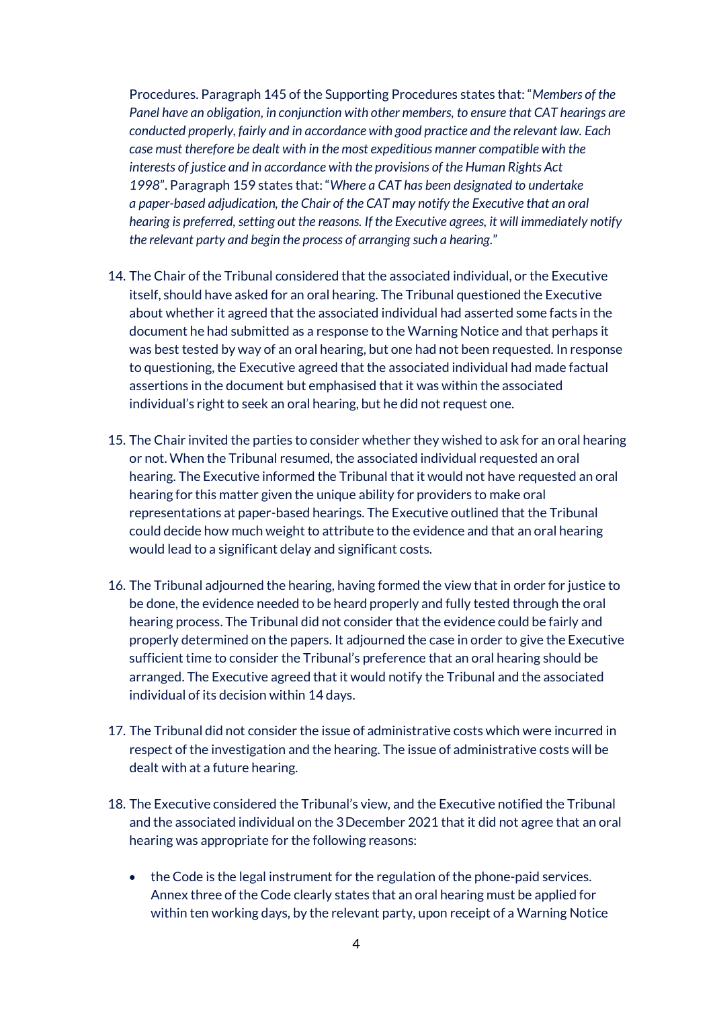Procedures. Paragraph 145 of the Supporting Procedures states that: "*Members of the Panel have an obligation, in conjunction with other members, to ensure that CAT hearings are conducted properly, fairly and in accordance with good practice and the relevant law. Each case must therefore be dealt with in the most expeditious manner compatible with the interests of justice and in accordance with the provisions of the Human Rights Act 1998*". Paragraph 159 states that: "*Where a CAT has been designated to undertake a paper-based adjudication, the Chair of the CAT may notify the Executive that an oral hearing is preferred, setting out the reasons. If the Executive agrees, it will immediately notify the relevant party and begin the process of arranging such a hearing*."

- 14. The Chair of the Tribunal considered that the associated individual, or the Executive itself, should have asked for an oral hearing. The Tribunal questioned the Executive about whether it agreed that the associated individual had asserted some facts in the document he had submitted as a response to the Warning Notice and that perhaps it was best tested by way of an oral hearing, but one had not been requested. In response to questioning, the Executive agreed that the associated individual had made factual assertions in the document but emphasised that it was within the associated individual's right to seek an oral hearing, but he did not request one.
- 15. The Chair invited the parties to consider whether they wished to ask for an oral hearing or not. When the Tribunal resumed, the associated individual requested an oral hearing. The Executive informed the Tribunal that it would not have requested an oral hearing for this matter given the unique ability for providers to make oral representations at paper-based hearings. The Executive outlined that the Tribunal could decide how much weight to attribute to the evidence and that an oral hearing would lead to a significant delay and significant costs.
- 16. The Tribunal adjourned the hearing, having formed the view that in order for justice to be done, the evidence needed to be heard properly and fully tested through the oral hearing process. The Tribunal did not consider that the evidence could be fairly and properly determined on the papers. It adjourned the case in order to give the Executive sufficient time to consider the Tribunal's preference that an oral hearing should be arranged. The Executive agreed that it would notify the Tribunal and the associated individual of its decision within 14 days.
- 17. The Tribunal did not consider the issue of administrative costs which were incurred in respect of the investigation and the hearing. The issue of administrative costs will be dealt with at a future hearing.
- 18. The Executive considered the Tribunal's view, and the Executive notified the Tribunal and the associated individual on the 3December 2021 that it did not agree that an oral hearing was appropriate for the following reasons:
	- the Code is the legal instrument for the regulation of the phone-paid services. Annex three of the Code clearly states that an oral hearing must be applied for within ten working days, by the relevant party, upon receipt of a Warning Notice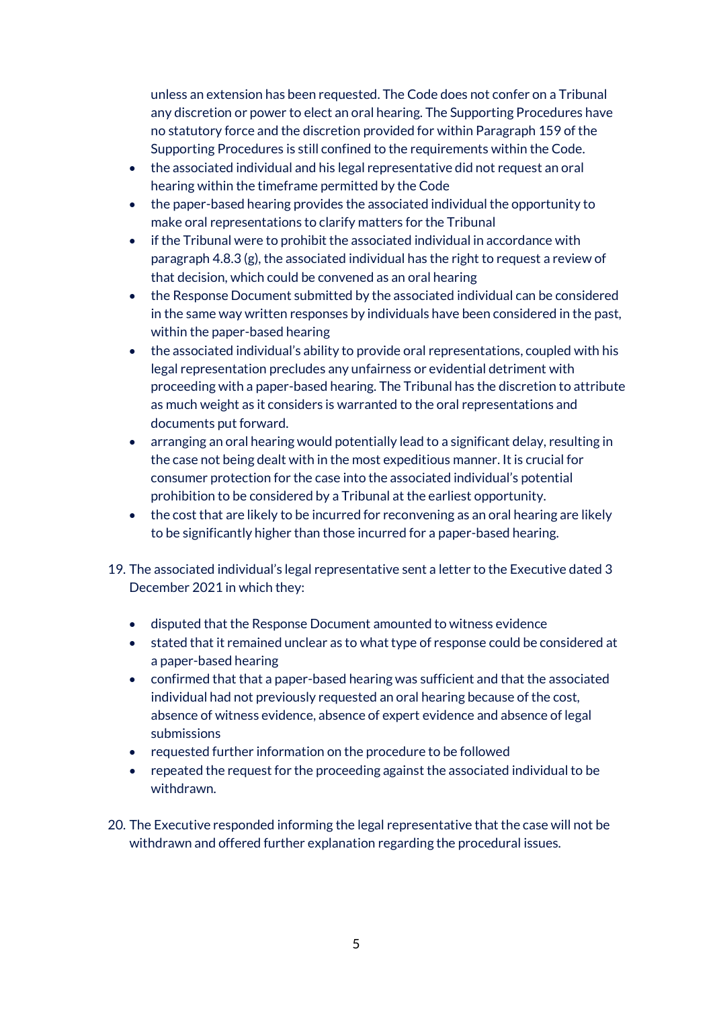unless an extension has been requested. The Code does not confer on a Tribunal any discretion or power to elect an oral hearing. The Supporting Procedures have no statutory force and the discretion provided for within Paragraph 159 of the Supporting Procedures is still confined to the requirements within the Code.

- the associated individual and his legal representative did not request an oral hearing within the timeframe permitted by the Code
- the paper-based hearing provides the associated individual the opportunity to make oral representations to clarify matters for the Tribunal
- if the Tribunal were to prohibit the associated individual in accordance with paragraph 4.8.3 (g), the associated individual has the right to request a review of that decision, which could be convened as an oral hearing
- the Response Document submitted by the associated individual can be considered in the same way written responses by individuals have been considered in the past, within the paper-based hearing
- the associated individual's ability to provide oral representations, coupled with his legal representation precludes any unfairness or evidential detriment with proceeding with a paper-based hearing. The Tribunal has the discretion to attribute as much weight as it considers is warranted to the oral representations and documents put forward.
- arranging an oral hearing would potentially lead to a significant delay, resulting in the case not being dealt with in the most expeditious manner. It is crucial for consumer protection for the case into the associated individual's potential prohibition to be considered by a Tribunal at the earliest opportunity.
- the cost that are likely to be incurred for reconvening as an oral hearing are likely to be significantly higher than those incurred for a paper-based hearing.
- 19. The associated individual's legal representative sent a letter to the Executive dated 3 December 2021 in which they:
	- disputed that the Response Document amounted to witness evidence
	- stated that it remained unclear as to what type of response could be considered at a paper-based hearing
	- confirmed that that a paper-based hearing was sufficient and that the associated individual had not previously requested an oral hearing because of the cost, absence of witness evidence, absence of expert evidence and absence of legal submissions
	- requested further information on the procedure to be followed
	- repeated the request for the proceeding against the associated individualto be withdrawn.
- 20. The Executive responded informing the legal representative that the case will not be withdrawn and offered further explanation regarding the procedural issues.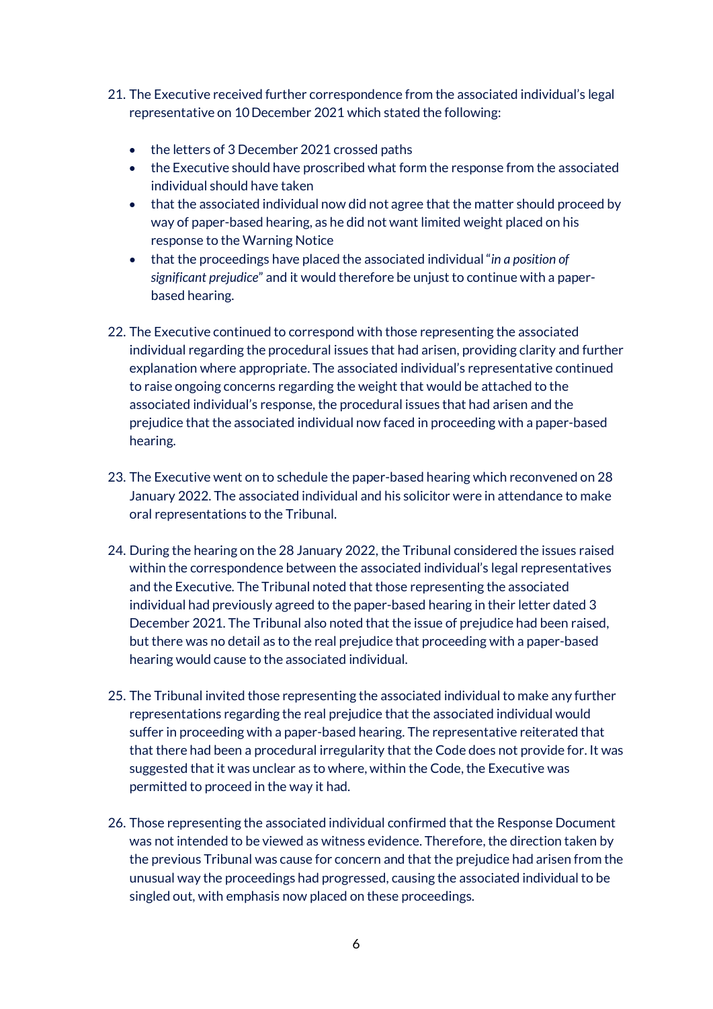- 21. The Executive received further correspondence from the associated individual's legal representative on 10December 2021 which stated the following:
	- the letters of 3 December 2021 crossed paths
	- the Executive should have proscribed what form the response from the associated individual should have taken
	- that the associated individual now did not agree that the matter should proceed by way of paper-based hearing, as he did not want limited weight placed on his response to the Warning Notice
	- that the proceedings have placed the associated individual "*in a position of significant prejudice*" and it would therefore be unjust to continue with a paperbased hearing.
- 22. The Executive continued to correspond with those representing the associated individual regarding the procedural issues that had arisen, providing clarity and further explanation where appropriate. The associated individual's representative continued to raise ongoing concerns regarding the weight that would be attached to the associated individual's response, the procedural issues that had arisen and the prejudice that the associated individual now faced in proceeding with a paper-based hearing.
- 23. The Executive went on to schedule the paper-based hearing which reconvened on 28 January 2022. The associated individual and his solicitor were in attendance to make oral representations to the Tribunal.
- 24. During the hearing on the 28 January 2022, the Tribunal considered the issues raised within the correspondence between the associated individual's legal representatives and the Executive. The Tribunal noted that those representing the associated individual had previously agreed to the paper-based hearing in their letter dated 3 December 2021. The Tribunal also noted that the issue of prejudice had been raised, but there was no detail as to the real prejudice that proceeding with a paper-based hearing would cause to the associated individual.
- 25. The Tribunal invited those representing the associated individual to make any further representations regarding the real prejudice that the associated individual would suffer in proceeding with a paper-based hearing. The representative reiterated that that there had been a procedural irregularity that the Code does not provide for. It was suggested that it was unclear as to where, within the Code, the Executive was permitted to proceed in the way it had.
- 26. Those representing the associated individual confirmed that the Response Document was not intended to be viewed as witness evidence. Therefore, the direction taken by the previous Tribunal was cause for concern and that the prejudice had arisen from the unusual way the proceedings had progressed, causing the associated individual to be singled out, with emphasis now placed on these proceedings.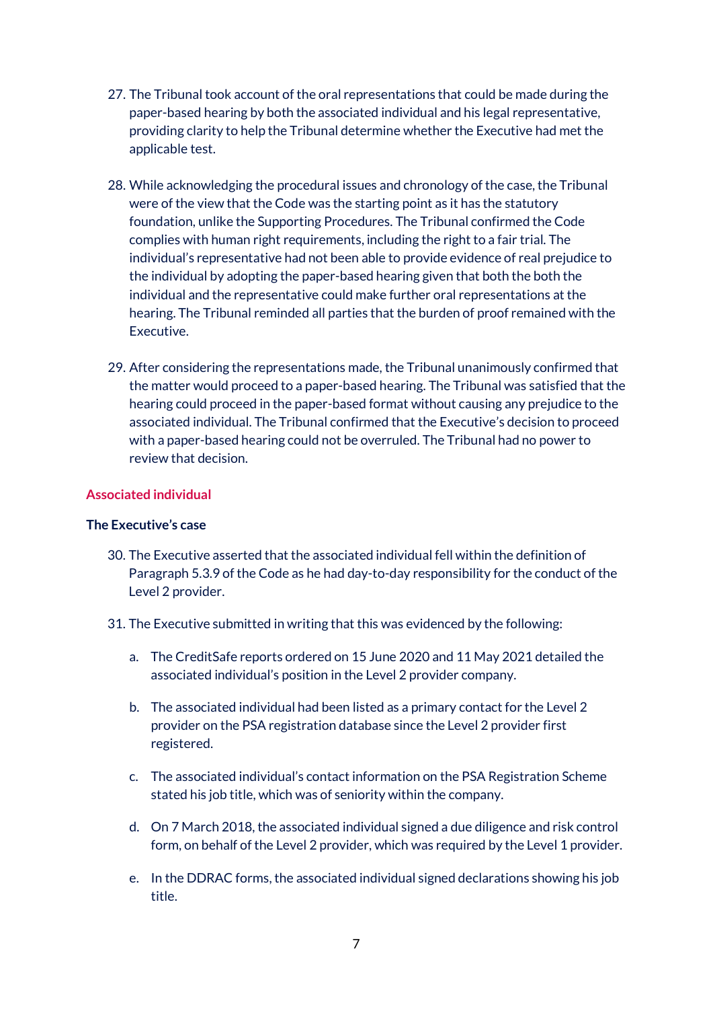- 27. The Tribunal took account of the oral representations that could be made during the paper-based hearing by both the associated individual and his legal representative, providing clarity to help the Tribunal determine whether the Executive had met the applicable test.
- 28. While acknowledging the procedural issues and chronology of the case, the Tribunal were of the view that the Code was the starting point as it has the statutory foundation, unlike the Supporting Procedures. The Tribunal confirmed the Code complies with human right requirements, including the right to a fair trial. The individual's representative had not been able to provide evidence of real prejudice to the individual by adopting the paper-based hearing given that both the both the individual and the representative could make further oral representations at the hearing. The Tribunal reminded all parties that the burden of proof remained with the Executive.
- 29. After considering the representations made, the Tribunal unanimously confirmed that the matter would proceed to a paper-based hearing. The Tribunal was satisfied that the hearing could proceed in the paper-based format without causing any prejudice to the associated individual. The Tribunal confirmed that the Executive's decision to proceed with a paper-based hearing could not be overruled. The Tribunal had no power to review that decision.

# **Associated individual**

## **The Executive's case**

- 30. The Executive asserted that the associated individual fell within the definition of Paragraph 5.3.9 of the Code as he had day-to-day responsibility for the conduct of the Level 2 provider.
- 31. The Executive submitted in writing that this was evidenced by the following:
	- a. The CreditSafe reports ordered on 15 June 2020 and 11 May 2021 detailed the associated individual's position in the Level 2 provider company.
	- b. The associated individual had been listed as a primary contact for the Level 2 provider on the PSA registration database since the Level 2 provider first registered.
	- c. The associated individual's contact information on the PSA Registration Scheme stated his job title, which was of seniority within the company.
	- d. On 7 March 2018, the associated individual signed a due diligence and risk control form, on behalf of the Level 2 provider, which was required by the Level 1 provider.
	- e. In the DDRAC forms, the associated individual signed declarations showing his job title.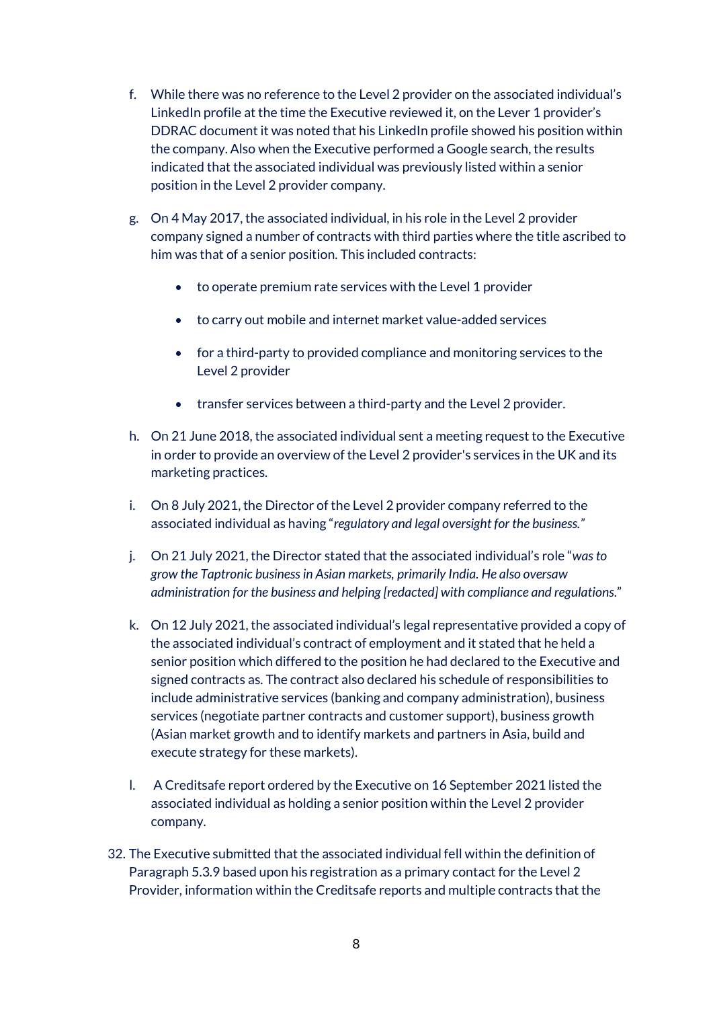- f. While there was no reference to the Level 2 provider on the associated individual's LinkedIn profile at the time the Executive reviewed it, on the Lever 1 provider's DDRAC document it was noted that his LinkedIn profile showed his position within the company. Also when the Executive performed a Google search, the results indicated that the associated individual was previously listed within a senior position in the Level 2 provider company.
- g. On 4 May 2017, the associated individual, in his role in the Level 2 provider company signed a number of contracts with third parties where the title ascribed to him was that of a senior position. This included contracts:
	- to operate premium rate services with the Level 1 provider
	- to carry out mobile and internet market value-added services
	- for a third-party to provided compliance and monitoring services to the Level 2 provider
	- transfer services between a third-party and the Level 2 provider.
- h. On 21 June 2018, the associated individual sent a meeting request to the Executive in order to provide an overview of the Level 2 provider's services in the UK and its marketing practices.
- i. On 8 July 2021, the Director of the Level 2 provider company referred to the associated individual as having "*regulatory and legal oversight for the business."*
- j. On 21 July 2021, the Director stated that the associated individual's role "*was to grow the Taptronic business in Asian markets, primarily India. He also oversaw administration for the business and helping [redacted] with compliance and regulations*."
- k. On 12 July 2021, the associated individual's legal representative provided a copy of the associated individual's contract of employment and it stated that he held a senior position which differed to the position he had declared to the Executive and signed contracts as. The contract also declared his schedule of responsibilities to include administrative services (banking and company administration), business services (negotiate partner contracts and customer support), business growth (Asian market growth and to identify markets and partners in Asia, build and execute strategy for these markets).
- l. A Creditsafe report ordered by the Executive on 16 September 2021 listed the associated individual as holding a senior position within the Level 2 provider company.
- 32. The Executive submitted that the associated individual fell within the definition of Paragraph 5.3.9 based upon his registration as a primary contact for the Level 2 Provider, information within the Creditsafe reports and multiple contracts that the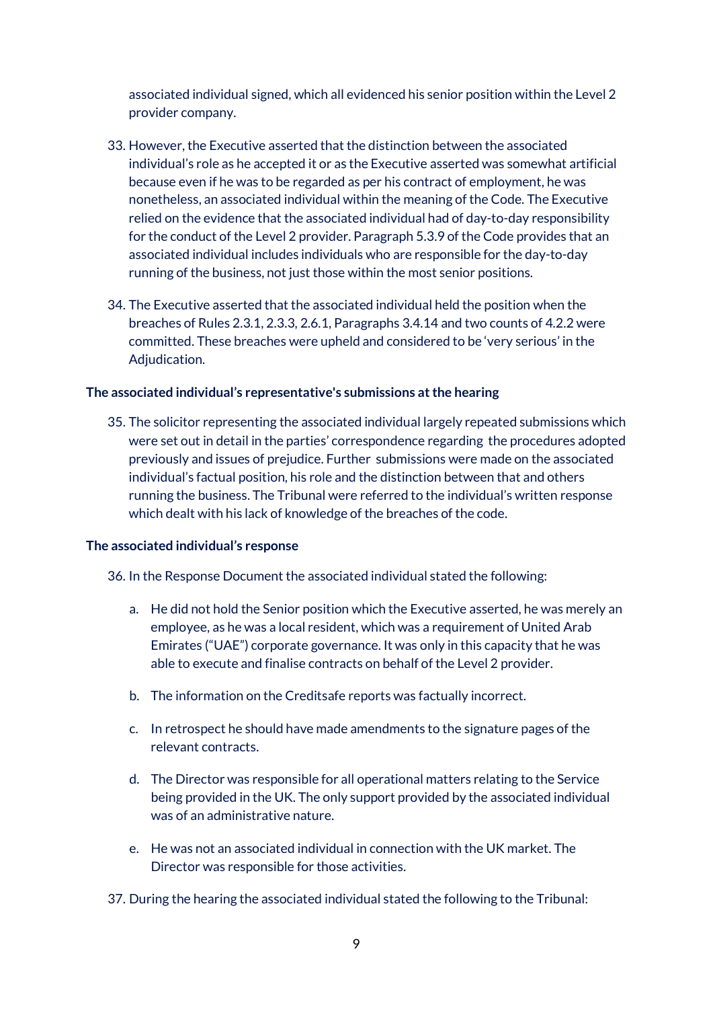associated individual signed, which all evidenced his senior position within the Level 2 provider company.

- 33. However, the Executive asserted that the distinction between the associated individual's role as he accepted it or as the Executive asserted was somewhat artificial because even if he was to be regarded as per his contract of employment, he was nonetheless, an associated individual within the meaning of the Code. The Executive relied on the evidence that the associated individual had of day-to-day responsibility for the conduct of the Level 2 provider. Paragraph 5.3.9 of the Code provides that an associated individual includes individuals who are responsible for the day-to-day running of the business, not just those within the most senior positions.
- 34. The Executive asserted that the associated individual held the position when the breaches of Rules 2.3.1, 2.3.3, 2.6.1, Paragraphs 3.4.14 and two counts of 4.2.2 were committed. These breaches were upheld and considered to be 'very serious' in the Adjudication.

## **The associated individual's representative's submissions at the hearing**

35. The solicitor representing the associated individual largely repeated submissions which were set out in detail in the parties' correspondence regarding the procedures adopted previously and issues of prejudice. Further submissions were made on the associated individual's factual position, his role and the distinction between that and others running the business. The Tribunal were referred to the individual's written response which dealt with his lack of knowledge of the breaches of the code.

#### **The associated individual's response**

36. In the Response Document the associated individual stated the following:

- a. He did not hold the Senior position which the Executive asserted, he was merely an employee, as he was a local resident, which was a requirement of United Arab Emirates ("UAE") corporate governance. It was only in this capacity that he was able to execute and finalise contracts on behalf of the Level 2 provider.
- b. The information on the Creditsafe reports was factually incorrect.
- c. In retrospect he should have made amendments to the signature pages of the relevant contracts.
- d. The Director was responsible for all operational matters relating to the Service being provided in the UK. The only support provided by the associated individual was of an administrative nature.
- e. He was not an associated individual in connection with the UK market. The Director was responsible for those activities.
- 37. During the hearing the associated individual stated the following to the Tribunal: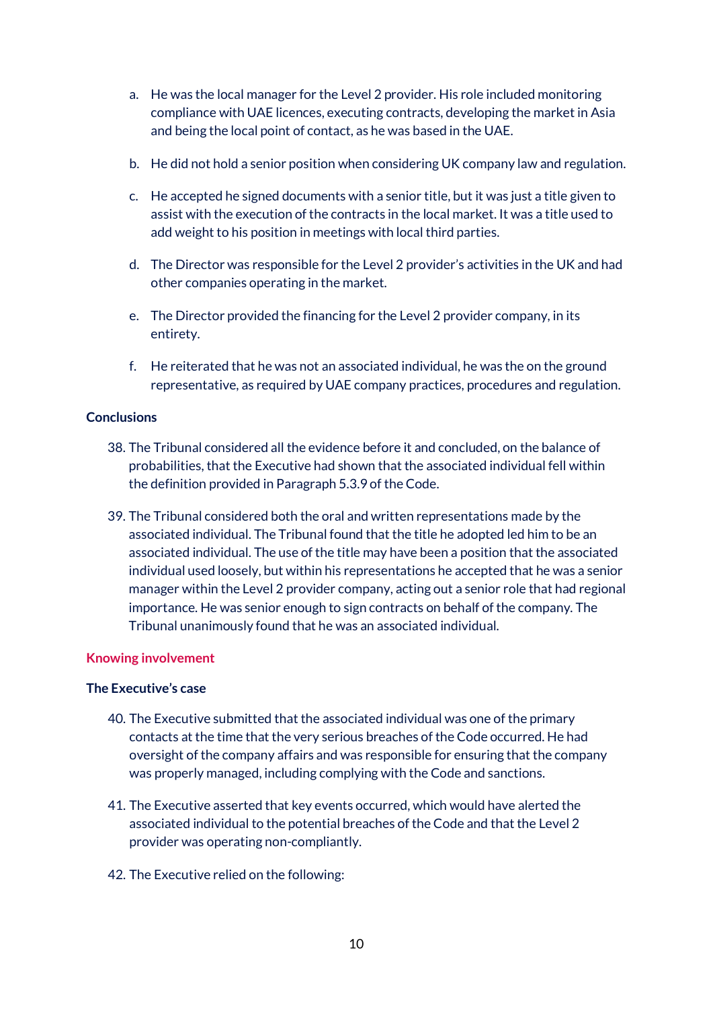- a. He was the local manager for the Level 2 provider. His role included monitoring compliance with UAE licences, executing contracts, developing the market in Asia and being the local point of contact, as he was based in the UAE.
- b. He did not hold a senior position when considering UK company law and regulation.
- c. He accepted he signed documents with a senior title, but it was just a title given to assist with the execution of the contracts in the local market. It was a title used to add weight to his position in meetings with local third parties.
- d. The Director was responsible for the Level 2 provider's activities in the UK and had other companies operating in the market.
- e. The Director provided the financing for the Level 2 provider company, in its entirety.
- f. He reiterated that he was not an associated individual, he was the on the ground representative, as required by UAE company practices, procedures and regulation.

## **Conclusions**

- 38. The Tribunal considered all the evidence before it and concluded, on the balance of probabilities, that the Executive had shown that the associated individual fell within the definition provided in Paragraph 5.3.9 of the Code.
- 39. The Tribunal considered both the oral and written representations made by the associated individual. The Tribunal found that the title he adopted led him to be an associated individual. The use of the title may have been a position that the associated individual used loosely, but within his representations he accepted that he was a senior manager within the Level 2 provider company, acting out a senior role that had regional importance. He was senior enough to sign contracts on behalf of the company. The Tribunal unanimously found that he was an associated individual.

## **Knowing involvement**

#### **The Executive's case**

- 40. The Executive submitted that the associated individual was one of the primary contacts at the time that the very serious breaches of the Code occurred. He had oversight of the company affairs and was responsible for ensuring that the company was properly managed, including complying with the Code and sanctions.
- 41. The Executive asserted that key events occurred, which would have alerted the associated individual to the potential breaches of the Code and that the Level 2 provider was operating non-compliantly.
- 42. The Executive relied on the following: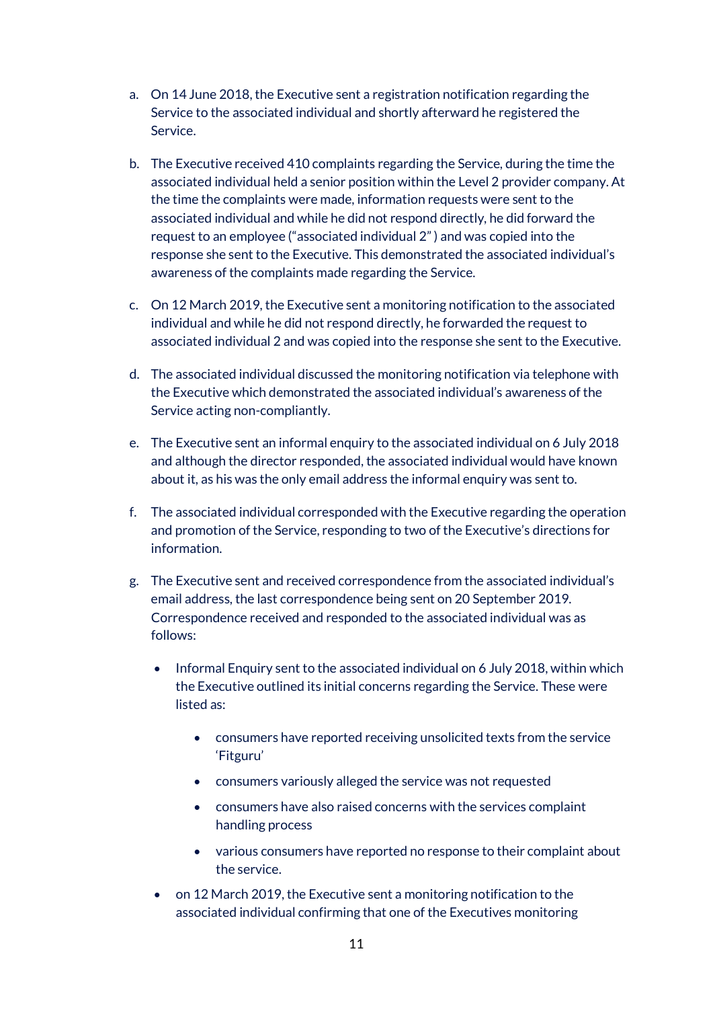- a. On 14 June 2018, the Executive sent a registration notification regarding the Service to the associated individual and shortly afterward he registered the Service.
- b. The Executive received 410 complaints regarding the Service, during the time the associated individual held a senior position within the Level 2 provider company. At the time the complaints were made, information requests were sent to the associated individual and while he did not respond directly, he did forward the request to an employee ("associated individual 2" ) and was copied into the response she sent to the Executive. This demonstrated the associated individual's awareness of the complaints made regarding the Service.
- c. On 12 March 2019, the Executive sent a monitoring notification to the associated individual and while he did not respond directly, he forwarded the request to associated individual 2 and was copied into the response she sent to the Executive.
- d. The associated individual discussed the monitoring notification via telephone with the Executive which demonstrated the associated individual's awareness of the Service acting non-compliantly.
- e. The Executive sent an informal enquiry to the associated individual on 6 July 2018 and although the director responded, the associated individual would have known about it, as his was the only email address the informal enquiry was sent to.
- f. The associated individual corresponded with the Executive regarding the operation and promotion of the Service, responding to two of the Executive's directions for information.
- g. The Executive sent and received correspondence from the associated individual's email address, the last correspondence being sent on 20 September 2019. Correspondence received and responded to the associated individual was as follows:
	- Informal Enquiry sent to the associated individual on 6 July 2018, within which the Executive outlined its initial concerns regarding the Service. These were listed as:
		- consumers have reported receiving unsolicited texts from the service 'Fitguru'
		- consumers variously alleged the service was not requested
		- consumers have also raised concerns with the services complaint handling process
		- various consumers have reported no response to their complaint about the service.
	- on 12 March 2019, the Executive sent a monitoring notification to the associated individual confirming that one of the Executives monitoring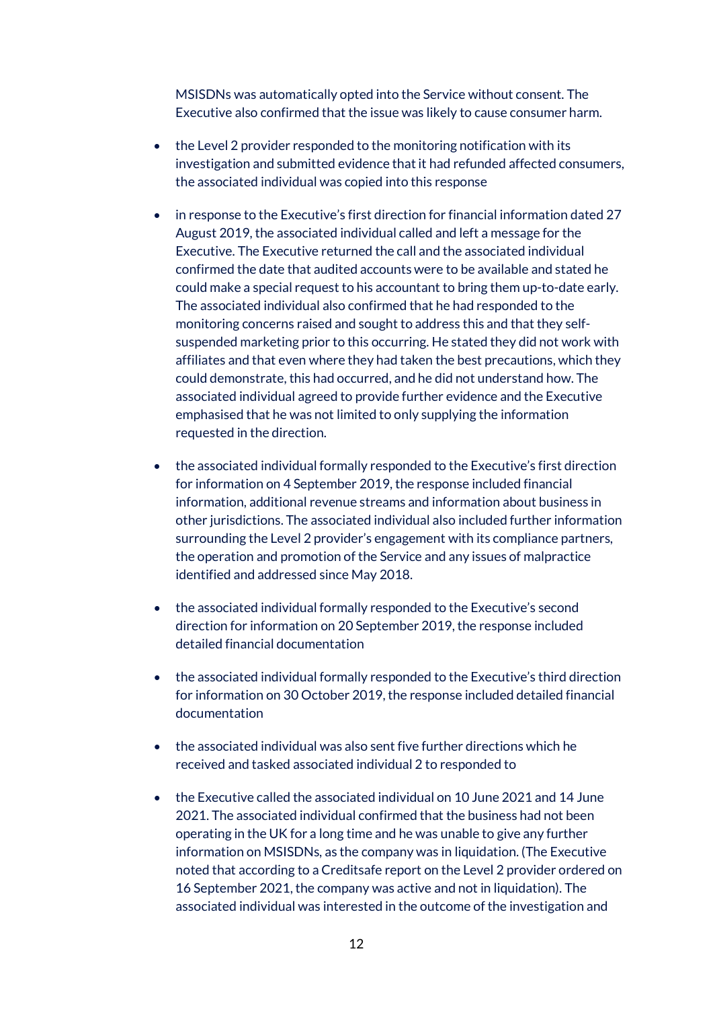MSISDNs was automatically opted into the Service without consent. The Executive also confirmed that the issue was likely to cause consumer harm.

- the Level 2 provider responded to the monitoring notification with its investigation and submitted evidence that it had refunded affected consumers, the associated individual was copied into this response
- in response to the Executive's first direction for financial information dated 27 August 2019, the associated individual called and left a message for the Executive. The Executive returned the call and the associated individual confirmed the date that audited accounts were to be available and stated he could make a special request to his accountant to bring them up-to-date early. The associated individual also confirmed that he had responded to the monitoring concerns raised and sought to address this and that they selfsuspended marketing prior to this occurring. He stated they did not work with affiliates and that even where they had taken the best precautions, which they could demonstrate, this had occurred, and he did not understand how. The associated individual agreed to provide further evidence and the Executive emphasised that he was not limited to only supplying the information requested in the direction.
- the associated individual formally responded to the Executive's first direction for information on 4 September 2019, the response included financial information, additional revenue streams and information about business in other jurisdictions. The associated individual also included further information surrounding the Level 2 provider's engagement with its compliance partners, the operation and promotion of the Service and any issues of malpractice identified and addressed since May 2018.
- the associated individual formally responded to the Executive's second direction for information on 20 September 2019, the response included detailed financial documentation
- the associated individual formally responded to the Executive's third direction for information on 30 October 2019, the response included detailed financial documentation
- the associated individual was also sent five further directions which he received and tasked associated individual 2 to responded to
- the Executive called the associated individual on 10 June 2021 and 14 June 2021. The associated individual confirmed that the business had not been operating in the UK for a long time and he was unable to give any further information on MSISDNs, as the company was in liquidation. (The Executive noted that according to a Creditsafe report on the Level 2 provider ordered on 16 September 2021, the company was active and not in liquidation). The associated individual was interested in the outcome of the investigation and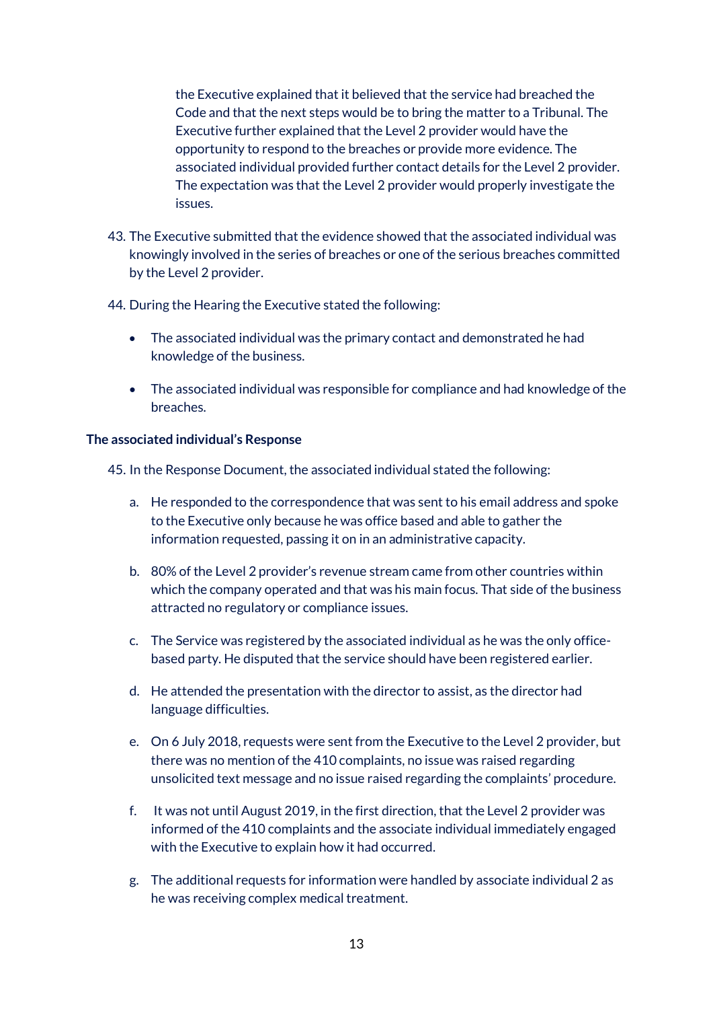the Executive explained that it believed that the service had breached the Code and that the next steps would be to bring the matter to a Tribunal. The Executive further explained that the Level 2 provider would have the opportunity to respond to the breaches or provide more evidence. The associated individual provided further contact details for the Level 2 provider. The expectation was that the Level 2 provider would properly investigate the issues.

- 43. The Executive submitted that the evidence showed that the associated individual was knowingly involved in the series of breaches or one of the serious breaches committed by the Level 2 provider.
- 44. During the Hearing the Executive stated the following:
	- The associated individual was the primary contact and demonstrated he had knowledge of the business.
	- The associated individual was responsible for compliance and had knowledge of the breaches.

# **The associated individual's Response**

45. In the Response Document, the associated individual stated the following:

- a. He responded to the correspondence that was sent to his email address and spoke to the Executive only because he was office based and able to gather the information requested, passing it on in an administrative capacity.
- b. 80% of the Level 2 provider's revenue stream came from other countries within which the company operated and that was his main focus. That side of the business attracted no regulatory or compliance issues.
- c. The Service was registered by the associated individual as he was the only officebased party. He disputed that the service should have been registered earlier.
- d. He attended the presentation with the director to assist, as the director had language difficulties.
- e. On 6 July 2018, requests were sent from the Executive to the Level 2 provider, but there was no mention of the 410 complaints, no issue was raised regarding unsolicited text message and no issue raised regarding the complaints' procedure.
- f. It was not until August 2019, in the first direction, that the Level 2 provider was informed of the 410 complaints and the associate individual immediately engaged with the Executive to explain how it had occurred.
- g. The additional requests for information were handled by associate individual 2 as he was receiving complex medical treatment.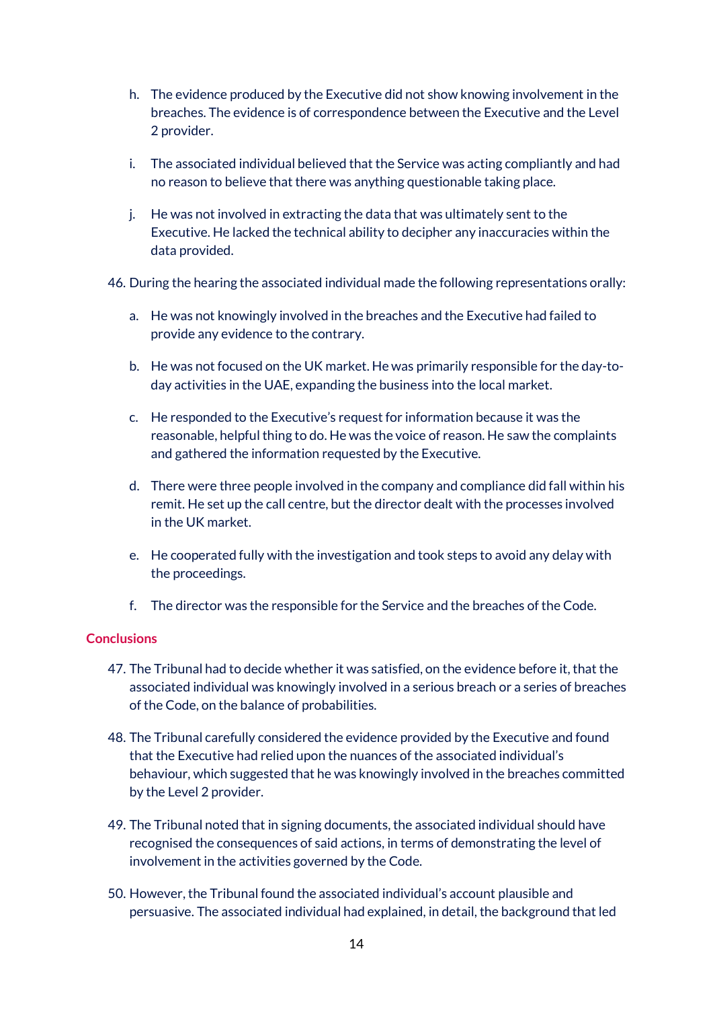- h. The evidence produced by the Executive did not show knowing involvement in the breaches. The evidence is of correspondence between the Executive and the Level 2 provider.
- i. The associated individual believed that the Service was acting compliantly and had no reason to believe that there was anything questionable taking place.
- j. He was not involved in extracting the data that was ultimately sent to the Executive. He lacked the technical ability to decipher any inaccuracies within the data provided.
- 46. During the hearing the associated individual made the following representations orally:
	- a. He was not knowingly involved in the breaches and the Executive had failed to provide any evidence to the contrary.
	- b. He was not focused on the UK market. He was primarily responsible for the day-today activities in the UAE, expanding the business into the local market.
	- c. He responded to the Executive's request for information because it was the reasonable, helpful thing to do. He was the voice of reason. He saw the complaints and gathered the information requested by the Executive.
	- d. There were three people involved in the company and compliance did fall within his remit. He set up the call centre, but the director dealt with the processes involved in the UK market.
	- e. He cooperated fully with the investigation and took steps to avoid any delay with the proceedings.
	- f. The director was the responsible for the Service and the breaches of the Code.

# **Conclusions**

- 47. The Tribunal had to decide whether it was satisfied, on the evidence before it, that the associated individual was knowingly involved in a serious breach or a series of breaches of the Code, on the balance of probabilities.
- 48. The Tribunal carefully considered the evidence provided by the Executive and found that the Executive had relied upon the nuances of the associated individual's behaviour, which suggested that he was knowingly involved in the breaches committed by the Level 2 provider.
- 49. The Tribunal noted that in signing documents, the associated individual should have recognised the consequences of said actions, in terms of demonstrating the level of involvement in the activities governed by the Code.
- 50. However, the Tribunal found the associated individual's account plausible and persuasive. The associated individual had explained, in detail, the background that led